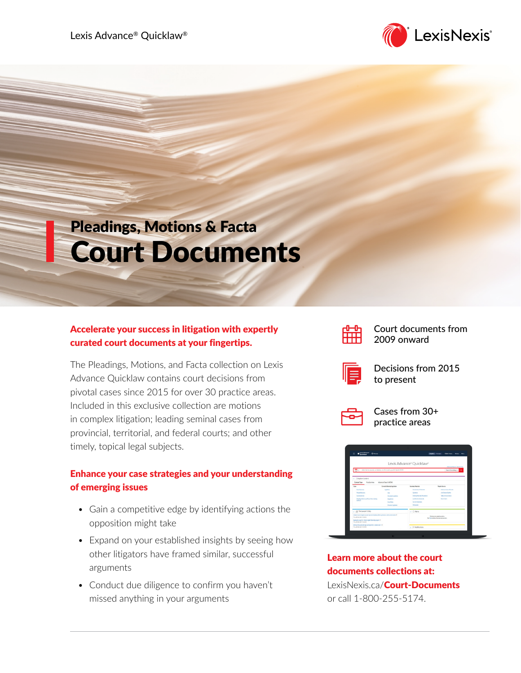Lexis Advance® Quicklaw®



# Pleadings, Motions & Facta Court Documents

## Accelerate your success in litigation with expertly curated court documents at your fingertips.

The Pleadings, Motions, and Facta collection on Lexis Advance Quicklaw contains court decisions from pivotal cases since 2015 for over 30 practice areas. Included in this exclusive collection are motions in complex litigation; leading seminal cases from provincial, territorial, and federal courts; and other timely, topical legal subjects.

## Enhance your case strategies and your understanding of emerging issues

- Gain a competitive edge by identifying actions the opposition might take
- Expand on your established insights by seeing how other litigators have framed similar, successful arguments
- Conduct due diligence to confirm you haven't missed anything in your arguments



Court documents from 2009 onward



Decisions from 2015 to present



Cases from 30+ practice areas

| Lexis Advance<br>田<br><b>Q</b> from<br><b>Guidea</b>                                                                                                                                                 |                                                                      |                                                                                | English Enrique<br>Class News<br>Hotels Mary |  |
|------------------------------------------------------------------------------------------------------------------------------------------------------------------------------------------------------|----------------------------------------------------------------------|--------------------------------------------------------------------------------|----------------------------------------------|--|
|                                                                                                                                                                                                      |                                                                      | Lexis Advance <sup>®</sup> Quicklaw®                                           | <b>Advanced Search Search Time</b>           |  |
| भूमा                                                                                                                                                                                                 | Enter terms, sources, a citation, or cit: to note up with QuickCITE® |                                                                                | Search Everything S.                         |  |
| v Fi Explore Content                                                                                                                                                                                 |                                                                      |                                                                                |                                              |  |
| Proctice Area<br>Content Type                                                                                                                                                                        | Advanced Search (NEW)                                                |                                                                                |                                              |  |
| Cast                                                                                                                                                                                                 | Carrent & Mutualcal Legislation                                      | Searche March                                                                  | Panular Seureas                              |  |
| Court Devisions                                                                                                                                                                                      | Intérieur                                                            | Competitive Checksaler                                                         | Hollywyl Louis Carada                        |  |
| Stungtheims                                                                                                                                                                                          | Am.                                                                  | <b>Ourtless</b>                                                                | <b>Juli</b> County Gallery                   |  |
| <b>Case Supporter</b>                                                                                                                                                                                | Annistant Lenislation                                                | <b>Dorbis Marias President</b>                                                 | <b>Manuel Committee</b>                      |  |
| <b>Pendings Matters and Easter New Including</b><br>Outland:                                                                                                                                         | <b><i><u>Stallong</u></i></b>                                        | Leaderson, Lincoln                                                             | <b>SouthDark</b>                             |  |
|                                                                                                                                                                                                      | CartEde                                                              | <b>Contact Automatic</b>                                                       |                                              |  |
|                                                                                                                                                                                                      | Hidaria/Legislation                                                  | Distancia                                                                      |                                              |  |
| v dil The Lawyer's Daily                                                                                                                                                                             |                                                                      | $\vee$ 0 Alerts                                                                |                                              |  |
| Organ Cout of Assess source via your industry prefers, prompts, rame pronunction (7)<br>The 25 Nov 2021 14:02:30<br>Aplicate south for Orland digital Mounte program (2)<br>The 25 Nov 2021 13:22:36 |                                                                      | You have not a waterfact substitu-<br>See Helpite Behad how to create an alut. |                                              |  |
|                                                                                                                                                                                                      |                                                                      |                                                                                |                                              |  |

Learn more about the court documents collections at: LexisNexis.ca/**[Court-Documents](https://www.lexisnexis.ca/en-ca/products/pleadings-motions-facta.page)** or call 1-800-255-5174.